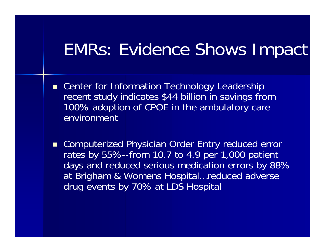#### EMRs: Evidence Shows Impact

- Center for Information Technology Leadership recent study indicates \$44 billion in savings from 100% adoption of CPOE in the ambulatory care environment
- Computerized Physician Order Entry reduced error rates by 55%--from 10.7 to 4.9 per 1,000 patient days and reduced serious medication errors by 88% at Brigham & Womens Hospital…reduced adverse drug events by 70% at LDS Hospital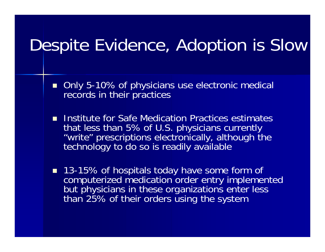## Despite Evidence, Adoption is Slow

- $\blacksquare$  Only 5-10% of physicians use electronic medical records in their practices
- **Institute for Safe Medication Practices estimates** that less than 5% of U.S. physicians currently "write" prescriptions electronically, although the technology to do so is readily available
- 13-15% of hospitals today have some form of computerized medication order entry implemented but physicians in these organizations enter less than 25% of their orders using the system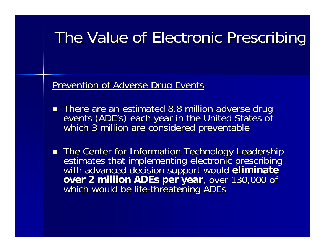#### The Value of Electronic Prescribing The Value of Electronic Prescribing

Prevention of Adverse Drug Events

- There are an estimated 8.8 million adverse drug events (ADE's) each year in the United States of<br>which 3 million are considered preventable
- The Center for Information Technology Leadership estimates that implementing electronic prescribing<br>with advanced decision support would eliminate<br>over 2 million ADEs per year, over 130,000 of which would be life-threatening ADEs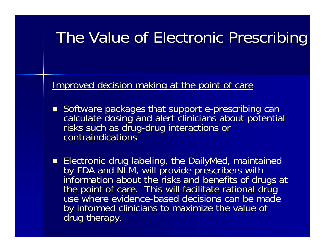#### The Value of Electronic Prescribing The Value of Electronic Prescribing

Improved decision making at the point of care

- Software packages that support e-prescribing can<br>calculate dosing and alert clinicians about potential<br>risks such as drug-drug interactions or risks such as drug-drug interactions or contraindications<sup>®</sup>
- Electronic drug labeling, the DailyMed, maintained<br>by FDA and NLM, will provide prescribers with<br>information about the risks and benefits of drugs at<br>the point of care. This will facilitate rational drug<br>use where evide use where evidence-based decisions can be made by informed clinicians to maximize the value of drug therapy.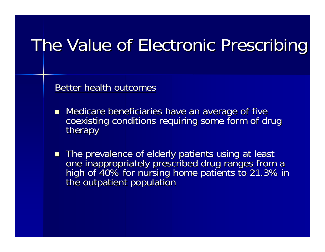## The Value of Electronic Prescribing

Better health outcomes

- Medicare beneficiaries have an average of five coexisting conditions requiring some form of drug<br>therapy
- $\blacksquare$ The prevalence of elderly patients using at least<br>one inappropriately prescribed drug ranges from a<br>high of 40% for nursing home patients to 21.3% in<br>the outpatient population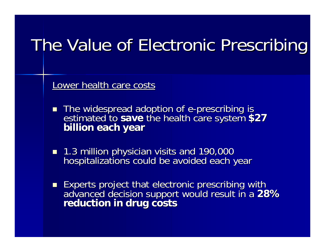## The Value of Electronic Prescribing

Lower health care costs

- The widespread adoption of e estimated to save the health care system \$27<sup>1</sup> billion each year
- 1.3 million physician visits and 190,000 hospitalizations could be avoided each year
- **Experts project that electronic prescribing with** advanced decision support would result in a 28%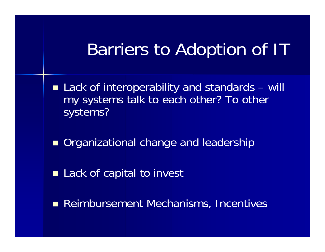### Barriers to Adoption of IT

- Lack of interoperability and standards will my systems talk to each other? To other systems?
- **Organizational change and leadership**
- Lack of capital to invest
- **Reimbursement Mechanisms, Incentives**